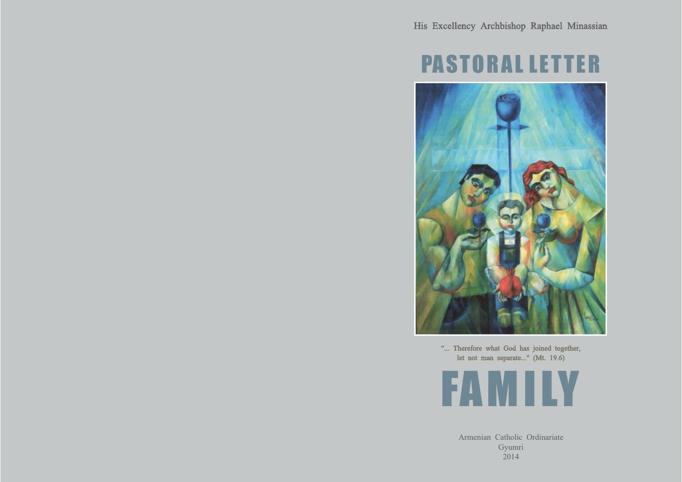# PASTORAL LETTER



"... Therefore what God has joined together, let not man separate..." (Mt. 19.6)



Armenian Catholic Ordinariate Gyumri 2014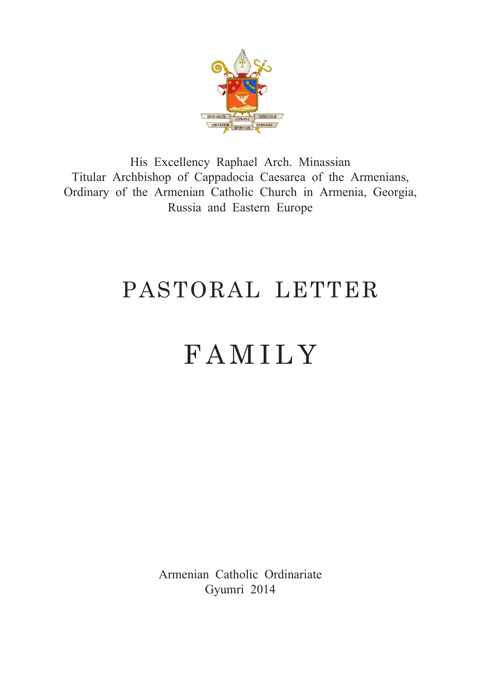

His Excellency Raphael Arch. Minassian Titular Archbishop of Cappadocia Caesarea of the Armenians, Ordinary of the Armenian Catholic Church in Armenia, Georgia, Russia and Eastern Europe

# PASTORAL LETTER

# FAMILY

Armenian Catholic Ordinariate Gyumri 2014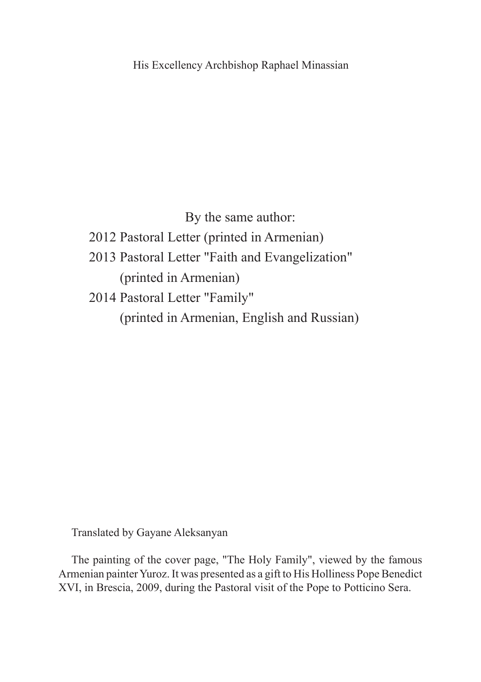His Excellency Archbishop Raphael Minassian

By the same author:

- 2012 Pastoral Letter (printed in Armenian)
- 2013 Pastoral Letter "Faith and Evangelization" (printed in Armenian)
- 2014 Pastoral Letter "Family" (printed in Armenian, English and Russian)

Translated by Gayane Aleksanyan

The painting of the cover page, "The Holy Family", viewed by the famous Armenian painter Yuroz. It was presented as a gift to His Holliness Pope Benedict XVI, in Brescia, 2009, during the Pastoral visit of the Pope to Potticino Sera.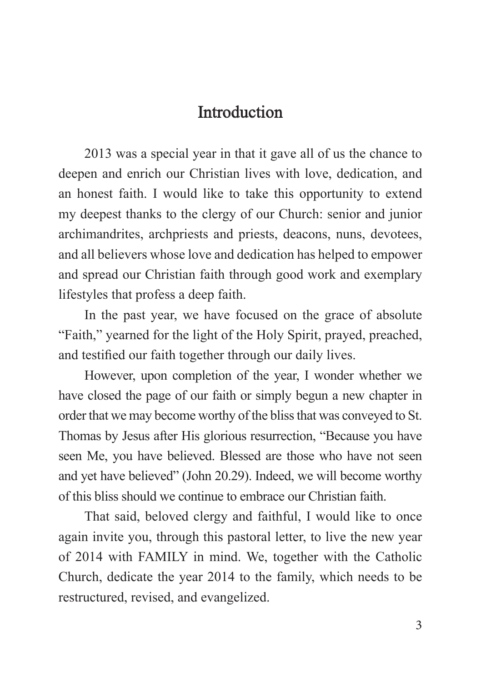# **Introduction**

2013 was a special year in that it gave all of us the chance to deepen and enrich our Christian lives with love, dedication, and an honest faith. I would like to take this opportunity to extend my deepest thanks to the clergy of our Church: senior and junior archimandrites, archpriests and priests, deacons, nuns, devotees, and all believers whose love and dedication has helped to empower and spread our Christian faith through good work and exemplary lifestyles that profess a deep faith.

In the past year, we have focused on the grace of absolute "Faith," yearned for the light of the Holy Spirit, prayed, preached, and testified our faith together through our daily lives.

However, upon completion of the year, I wonder whether we have closed the page of our faith or simply begun a new chapter in order that we may become worthy of the bliss that was conveyed to St. Thomas by Jesus after His glorious resurrection, "Because you have seen Me, you have believed. Blessed are those who have not seen and yet have believed" (John 20.29). Indeed, we will become worthy of this bliss should we continue to embrace our Christian faith.

That said, beloved clergy and faithful, I would like to once again invite you, through this pastoral letter, to live the new year of 2014 with FAMILY in mind. We, together with the Catholic Church, dedicate the year 2014 to the family, which needs to be restructured, revised, and evangelized.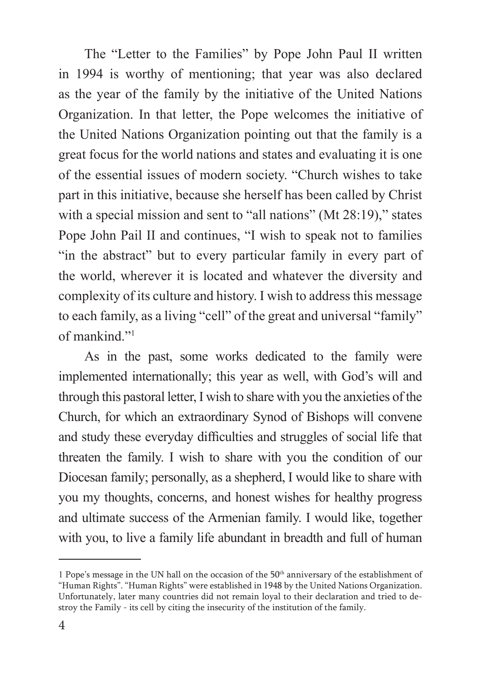The "Letter to the Families" by Pope John Paul II written in 1994 is worthy of mentioning; that year was also declared as the year of the family by the initiative of the United Nations Organization. In that letter, the Pope welcomes the initiative of the United Nations Organization pointing out that the family is a great focus for the world nations and states and evaluating it is one of the essential issues of modern society. "Church wishes to take part in this initiative, because she herself has been called by Christ with a special mission and sent to "all nations" (Mt 28:19)," states Pope John Pail II and continues, "I wish to speak not to families "in the abstract" but to every particular family in every part of the world, wherever it is located and whatever the diversity and complexity of its culture and history. I wish to address this message to each family, as a living "cell" of the great and universal "family" of mankind."1

As in the past, some works dedicated to the family were implemented internationally; this year as well, with God's will and through this pastoral letter, I wish to share with you the anxieties of the Church, for which an extraordinary Synod of Bishops will convene and study these everyday difficulties and struggles of social life that threaten the family. I wish to share with you the condition of our Diocesan family; personally, as a shepherd, I would like to share with you my thoughts, concerns, and honest wishes for healthy progress and ultimate success of the Armenian family. I would like, together with you, to live a family life abundant in breadth and full of human

<sup>1</sup> Pope's message in the UN hall on the occasion of the 50<sup>th</sup> anniversary of the establishment of "Human Rights". "Human Rights" were established in 1948 by the United Nations Organization. Unfortunately, later many countries did not remain loyal to their declaration and tried to destroy the Family - its cell by citing the insecurity of the institution of the family.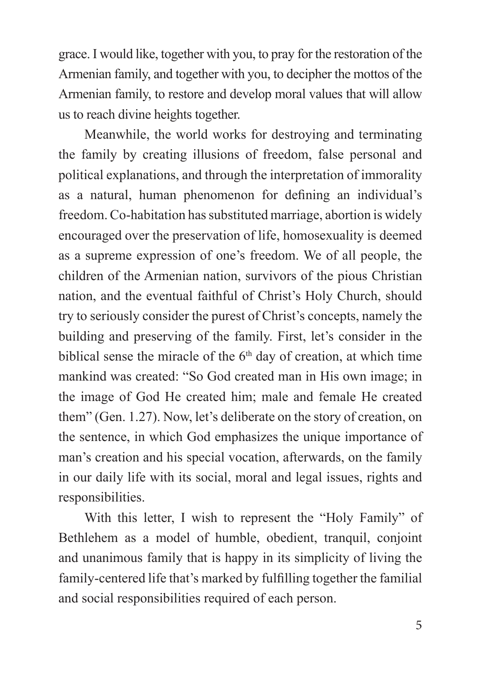grace. I would like, together with you, to pray for the restoration of the Armenian family, and together with you, to decipher the mottos of the Armenian family, to restore and develop moral values that will allow us to reach divine heights together.

Meanwhile, the world works for destroying and terminating the family by creating illusions of freedom, false personal and political explanations, and through the interpretation of immorality as a natural, human phenomenon for defining an individual's freedom. Co-habitation has substituted marriage, abortion is widely encouraged over the preservation of life, homosexuality is deemed as a supreme expression of one's freedom. We of all people, the children of the Armenian nation, survivors of the pious Christian nation, and the eventual faithful of Christ's Holy Church, should try to seriously consider the purest of Christ's concepts, namely the building and preserving of the family. First, let's consider in the biblical sense the miracle of the  $6<sup>th</sup>$  day of creation, at which time mankind was created: "So God created man in His own image; in the image of God He created him; male and female He created them" (Gen. 1.27). Now, let's deliberate on the story of creation, on the sentence, in which God emphasizes the unique importance of man's creation and his special vocation, afterwards, on the family in our daily life with its social, moral and legal issues, rights and responsibilities.

With this letter, I wish to represent the "Holy Family" of Bethlehem as a model of humble, obedient, tranquil, conjoint and unanimous family that is happy in its simplicity of living the family-centered life that's marked by fulfilling together the familial and social responsibilities required of each person.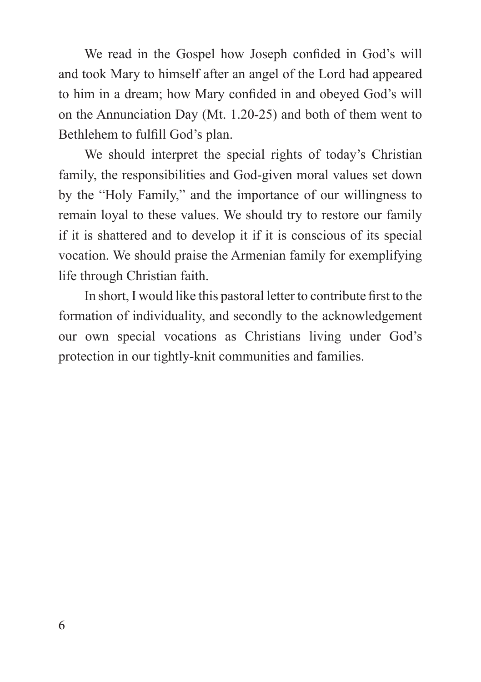We read in the Gospel how Joseph confided in God's will and took Mary to himself after an angel of the Lord had appeared to him in a dream; how Mary confided in and obeyed God's will on the Annunciation Day (Mt. 1.20-25) and both of them went to Bethlehem to fulfill God's plan.

We should interpret the special rights of today's Christian family, the responsibilities and God-given moral values set down by the "Holy Family," and the importance of our willingness to remain loyal to these values. We should try to restore our family if it is shattered and to develop it if it is conscious of its special vocation. We should praise the Armenian family for exemplifying life through Christian faith.

In short, I would like this pastoral letter to contribute first to the formation of individuality, and secondly to the acknowledgement our own special vocations as Christians living under God's protection in our tightly-knit communities and families.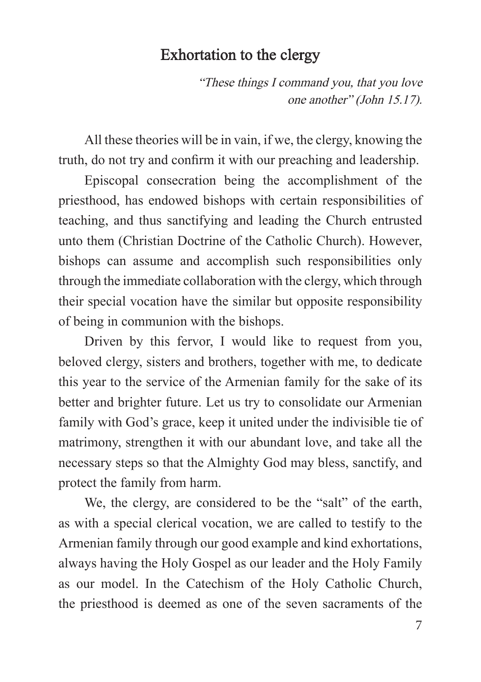#### Exhortation to the clergy

"These things I command you, that you love one another" (John 15.17).

All these theories will be in vain, if we, the clergy, knowing the truth, do not try and confirm it with our preaching and leadership.

Episcopal consecration being the accomplishment of the priesthood, has endowed bishops with certain responsibilities of teaching, and thus sanctifying and leading the Church entrusted unto them (Christian Doctrine of the Catholic Church). However, bishops can assume and accomplish such responsibilities only through the immediate collaboration with the clergy, which through their special vocation have the similar but opposite responsibility of being in communion with the bishops.

Driven by this fervor, I would like to request from you, beloved clergy, sisters and brothers, together with me, to dedicate this year to the service of the Armenian family for the sake of its better and brighter future. Let us try to consolidate our Armenian family with God's grace, keep it united under the indivisible tie of matrimony, strengthen it with our abundant love, and take all the necessary steps so that the Almighty God may bless, sanctify, and protect the family from harm.

We, the clergy, are considered to be the "salt" of the earth, as with a special clerical vocation, we are called to testify to the Armenian family through our good example and kind exhortations, always having the Holy Gospel as our leader and the Holy Family as our model. In the Catechism of the Holy Catholic Church, the priesthood is deemed as one of the seven sacraments of the

7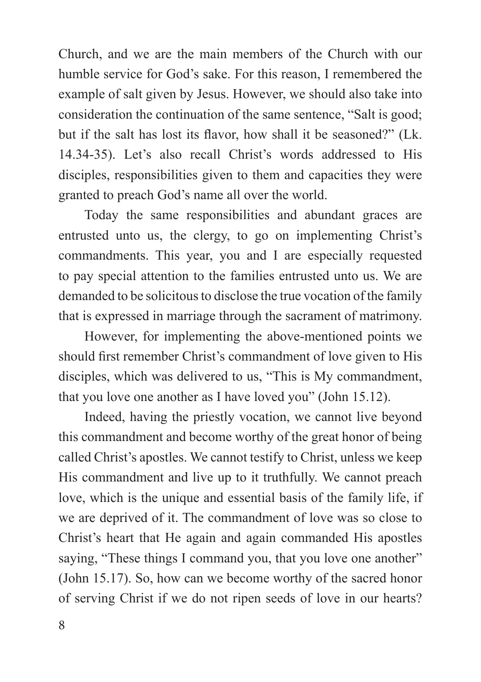Church, and we are the main members of the Church with our humble service for God's sake. For this reason, I remembered the example of salt given by Jesus. However, we should also take into consideration the continuation of the same sentence, "Salt is good; but if the salt has lost its flavor, how shall it be seasoned?" (Lk. 14.34-35). Let's also recall Christ's words addressed to His disciples, responsibilities given to them and capacities they were granted to preach God's name all over the world.

Today the same responsibilities and abundant graces are entrusted unto us, the clergy, to go on implementing Christ's commandments. This year, you and I are especially requested to pay special attention to the families entrusted unto us. We are demanded to be solicitous to disclose the true vocation of the family that is expressed in marriage through the sacrament of matrimony.

However, for implementing the above-mentioned points we should first remember Christ's commandment of love given to His disciples, which was delivered to us, "This is My commandment, that you love one another as I have loved you" (John 15.12).

Indeed, having the priestly vocation, we cannot live beyond this commandment and become worthy of the great honor of being called Christ's apostles. We cannot testify to Christ, unless we keep His commandment and live up to it truthfully. We cannot preach love, which is the unique and essential basis of the family life, if we are deprived of it. The commandment of love was so close to Christ's heart that He again and again commanded His apostles saying, "These things I command you, that you love one another" (John 15.17). So, how can we become worthy of the sacred honor of serving Christ if we do not ripen seeds of love in our hearts?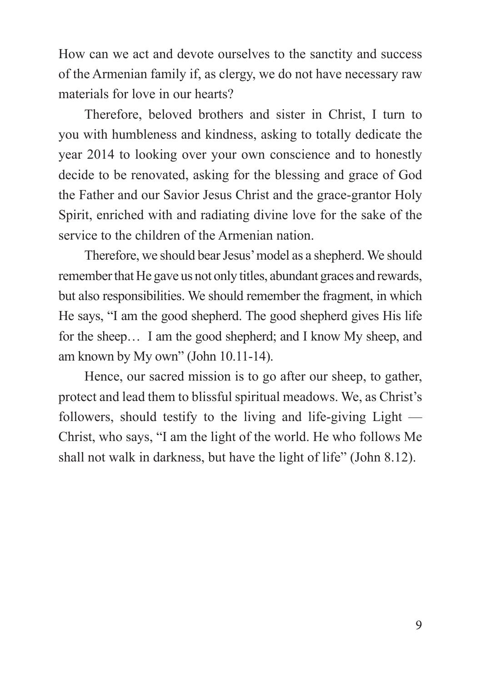How can we act and devote ourselves to the sanctity and success of the Armenian family if, as clergy, we do not have necessary raw materials for love in our hearts?

Therefore, beloved brothers and sister in Christ, I turn to you with humbleness and kindness, asking to totally dedicate the year 2014 to looking over your own conscience and to honestly decide to be renovated, asking for the blessing and grace of God the Father and our Savior Jesus Christ and the grace-grantor Holy Spirit, enriched with and radiating divine love for the sake of the service to the children of the Armenian nation.

Therefore, we should bear Jesus' model as a shepherd. We should remember that He gave us not only titles, abundant graces and rewards, but also responsibilities. We should remember the fragment, in which He says, "I am the good shepherd. The good shepherd gives His life for the sheep… I am the good shepherd; and I know My sheep, and am known by My own" (John 10.11-14).

Hence, our sacred mission is to go after our sheep, to gather, protect and lead them to blissful spiritual meadows. We, as Christ's followers, should testify to the living and life-giving Light — Christ, who says, "I am the light of the world. He who follows Me shall not walk in darkness, but have the light of life" (John 8.12).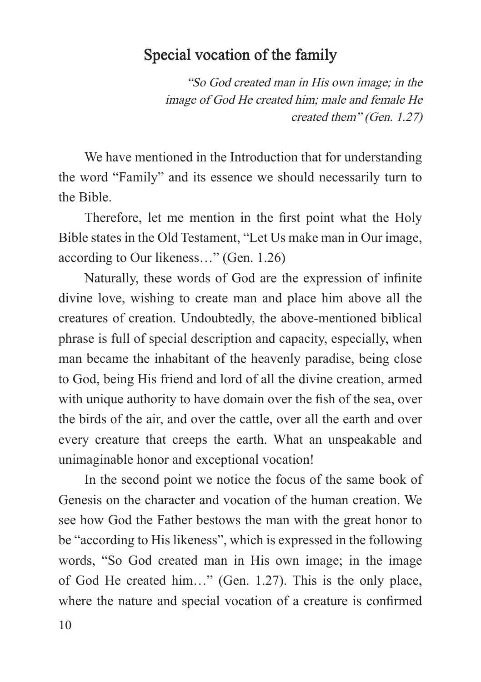### Special vocation of the family

"So God created man in His own image; in the image of God He created him; male and female He created them" (Gen. 1.27)

We have mentioned in the Introduction that for understanding the word "Family" and its essence we should necessarily turn to the Bible.

Therefore, let me mention in the first point what the Holy Bible states in the Old Testament, "Let Us make man in Our image, according to Our likeness…" (Gen. 1.26)

Naturally, these words of God are the expression of infinite divine love, wishing to create man and place him above all the creatures of creation. Undoubtedly, the above-mentioned biblical phrase is full of special description and capacity, especially, when man became the inhabitant of the heavenly paradise, being close to God, being His friend and lord of all the divine creation, armed with unique authority to have domain over the fish of the sea, over the birds of the air, and over the cattle, over all the earth and over every creature that creeps the earth. What an unspeakable and unimaginable honor and exceptional vocation!

In the second point we notice the focus of the same book of Genesis on the character and vocation of the human creation. We see how God the Father bestows the man with the great honor to be "according to His likeness", which is expressed in the following words, "So God created man in His own image; in the image of God He created him…" (Gen. 1.27). This is the only place, where the nature and special vocation of a creature is confirmed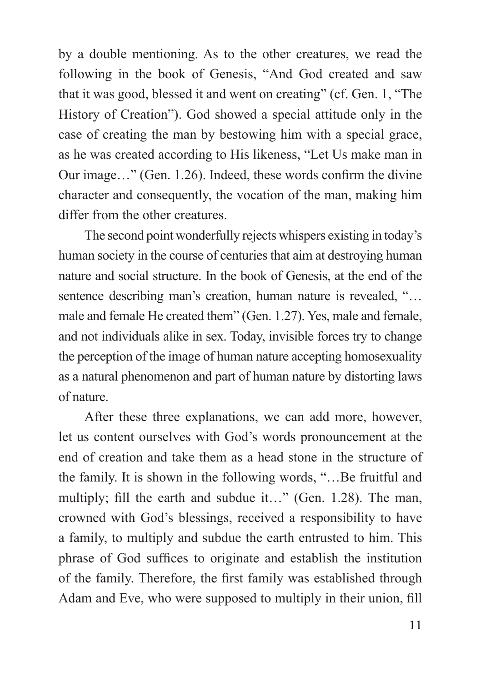by a double mentioning. As to the other creatures, we read the following in the book of Genesis, "And God created and saw that it was good, blessed it and went on creating" (cf. Gen. 1, "The History of Creation"). God showed a special attitude only in the case of creating the man by bestowing him with a special grace, as he was created according to His likeness, "Let Us make man in Our image…" (Gen. 1.26). Indeed, these words confirm the divine character and consequently, the vocation of the man, making him differ from the other creatures.

The second point wonderfully rejects whispers existing in today's human society in the course of centuries that aim at destroying human nature and social structure. In the book of Genesis, at the end of the sentence describing man's creation, human nature is revealed, "... male and female He created them" (Gen. 1.27). Yes, male and female, and not individuals alike in sex. Today, invisible forces try to change the perception of the image of human nature accepting homosexuality as a natural phenomenon and part of human nature by distorting laws of nature.

After these three explanations, we can add more, however, let us content ourselves with God's words pronouncement at the end of creation and take them as a head stone in the structure of the family. It is shown in the following words, "…Be fruitful and multiply; fill the earth and subdue it…" (Gen. 1.28). The man, crowned with God's blessings, received a responsibility to have a family, to multiply and subdue the earth entrusted to him. This phrase of God suffices to originate and establish the institution of the family. Therefore, the first family was established through Adam and Eve, who were supposed to multiply in their union, fill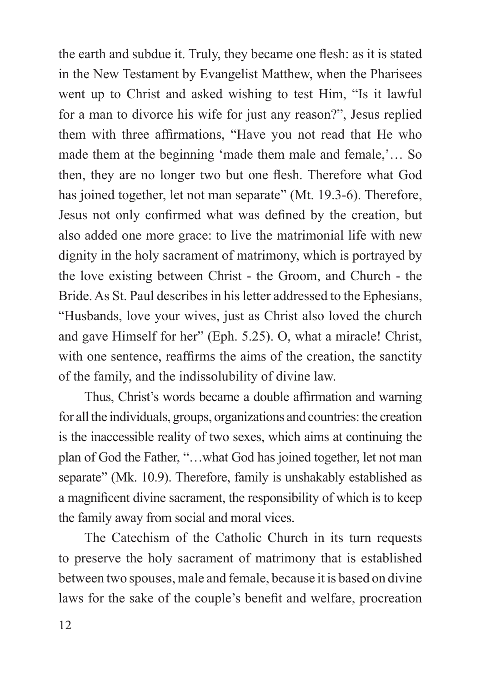the earth and subdue it. Truly, they became one flesh: as it is stated in the New Testament by Evangelist Matthew, when the Pharisees went up to Christ and asked wishing to test Him, "Is it lawful for a man to divorce his wife for just any reason?", Jesus replied them with three affirmations, "Have you not read that He who made them at the beginning 'made them male and female,'… So then, they are no longer two but one flesh. Therefore what God has joined together, let not man separate" (Mt. 19.3-6). Therefore, Jesus not only confirmed what was defined by the creation, but also added one more grace: to live the matrimonial life with new dignity in the holy sacrament of matrimony, which is portrayed by the love existing between Christ - the Groom, and Church - the Bride. As St. Paul describes in his letter addressed to the Ephesians, "Husbands, love your wives, just as Christ also loved the church and gave Himself for her" (Eph. 5.25). O, what a miracle! Christ, with one sentence, reaffirms the aims of the creation, the sanctity of the family, and the indissolubility of divine law.

Thus, Christ's words became a double affirmation and warning for all the individuals, groups, organizations and countries: the creation is the inaccessible reality of two sexes, which aims at continuing the plan of God the Father, "…what God has joined together, let not man separate" (Mk. 10.9). Therefore, family is unshakably established as a magnificent divine sacrament, the responsibility of which is to keep the family away from social and moral vices.

The Catechism of the Catholic Church in its turn requests to preserve the holy sacrament of matrimony that is established between two spouses, male and female, because it is based on divine laws for the sake of the couple's benefit and welfare, procreation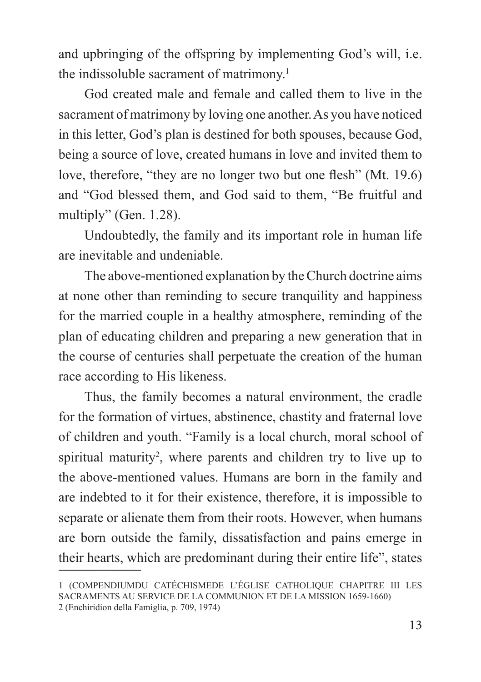and upbringing of the offspring by implementing God's will, i.e. the indissoluble sacrament of matrimony.<sup>1</sup>

God created male and female and called them to live in the sacrament of matrimony by loving one another. As you have noticed in this letter, God's plan is destined for both spouses, because God, being a source of love, created humans in love and invited them to love, therefore, "they are no longer two but one flesh" (Mt. 19.6) and "God blessed them, and God said to them, "Be fruitful and multiply" (Gen. 1.28).

Undoubtedly, the family and its important role in human life are inevitable and undeniable.

The above-mentioned explanation by the Church doctrine aims at none other than reminding to secure tranquility and happiness for the married couple in a healthy atmosphere, reminding of the plan of educating children and preparing a new generation that in the course of centuries shall perpetuate the creation of the human race according to His likeness.

Thus, the family becomes a natural environment, the cradle for the formation of virtues, abstinence, chastity and fraternal love of children and youth. "Family is a local church, moral school of spiritual maturity<sup>2</sup>, where parents and children try to live up to the above-mentioned values. Humans are born in the family and are indebted to it for their existence, therefore, it is impossible to separate or alienate them from their roots. However, when humans are born outside the family, dissatisfaction and pains emerge in their hearts, which are predominant during their entire life", states

<sup>1 (</sup>COMPENDIUMDU CATÉCHISMEDE L'ÉGLISE CATHOLIQUE CHAPITRE III LES SACRAMENTS AU SERVICE DE LA COMMUNION ET DE LA MISSION 1659-1660) 2 (Enchiridion della Famiglia, p. 709, 1974)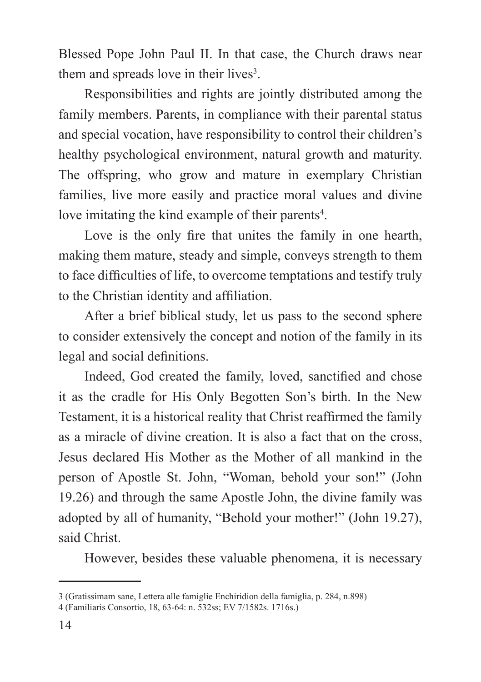Blessed Pope John Paul II. In that case, the Church draws near them and spreads love in their lives<sup>3</sup>.

Responsibilities and rights are jointly distributed among the family members. Parents, in compliance with their parental status and special vocation, have responsibility to control their children's healthy psychological environment, natural growth and maturity. The offspring, who grow and mature in exemplary Christian families, live more easily and practice moral values and divine love imitating the kind example of their parents<sup>4</sup>.

Love is the only fire that unites the family in one hearth, making them mature, steady and simple, conveys strength to them to face difficulties of life, to overcome temptations and testify truly to the Christian identity and affiliation.

After a brief biblical study, let us pass to the second sphere to consider extensively the concept and notion of the family in its legal and social definitions.

Indeed, God created the family, loved, sanctified and chose it as the cradle for His Only Begotten Son's birth. In the New Testament, it is a historical reality that Christ reaffirmed the family as a miracle of divine creation. It is also a fact that on the cross, Jesus declared His Mother as the Mother of all mankind in the person of Apostle St. John, "Woman, behold your son!" (John 19.26) and through the same Apostle John, the divine family was adopted by all of humanity, "Behold your mother!" (John 19.27), said Christ.

However, besides these valuable phenomena, it is necessary

<sup>3 (</sup>Gratissimam sane, Lettera alle famiglie Enchiridion della famiglia, p. 284, n.898)

<sup>4 (</sup>Familiaris Consortio, 18, 63-64: n. 532ss; EV 7/1582s. 1716s.)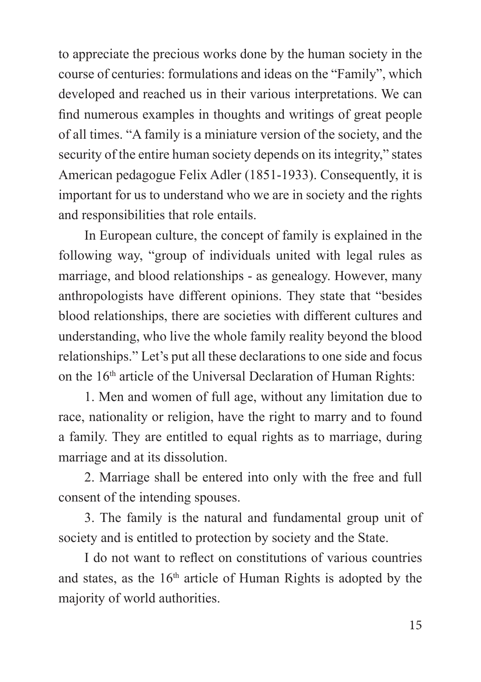to appreciate the precious works done by the human society in the course of centuries: formulations and ideas on the "Family", which developed and reached us in their various interpretations. We can find numerous examples in thoughts and writings of great people of all times. "A family is a miniature version of the society, and the security of the entire human society depends on its integrity," states American pedagogue Felix Adler (1851-1933). Consequently, it is important for us to understand who we are in society and the rights and responsibilities that role entails.

In European culture, the concept of family is explained in the following way, "group of individuals united with legal rules as marriage, and blood relationships - as genealogy. However, many anthropologists have different opinions. They state that "besides blood relationships, there are societies with different cultures and understanding, who live the whole family reality beyond the blood relationships." Let's put all these declarations to one side and focus on the 16th article of the Universal Declaration of Human Rights:

1. Men and women of full age, without any limitation due to race, nationality or religion, have the right to marry and to found a family. They are entitled to equal rights as to marriage, during marriage and at its dissolution.

2. Marriage shall be entered into only with the free and full consent of the intending spouses.

3. The family is the natural and fundamental group unit of society and is entitled to protection by society and the State.

I do not want to reflect on constitutions of various countries and states, as the  $16<sup>th</sup>$  article of Human Rights is adopted by the majority of world authorities.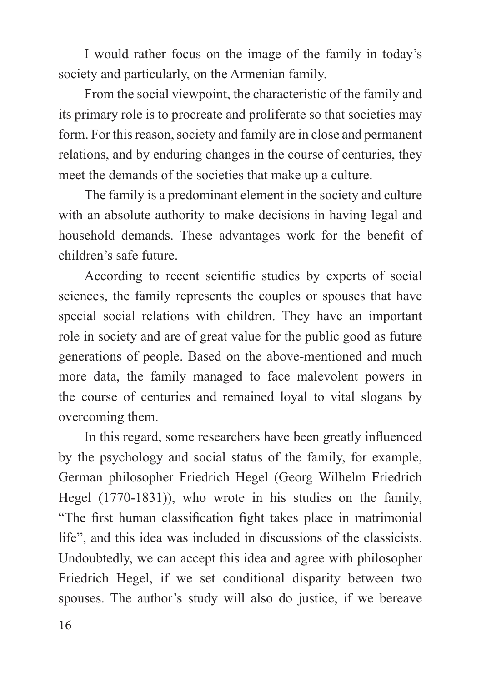I would rather focus on the image of the family in today's society and particularly, on the Armenian family.

From the social viewpoint, the characteristic of the family and its primary role is to procreate and proliferate so that societies may form. For this reason, society and family are in close and permanent relations, and by enduring changes in the course of centuries, they meet the demands of the societies that make up a culture.

The family is a predominant element in the society and culture with an absolute authority to make decisions in having legal and household demands. These advantages work for the benefit of children's safe future.

According to recent scientific studies by experts of social sciences, the family represents the couples or spouses that have special social relations with children. They have an important role in society and are of great value for the public good as future generations of people. Based on the above-mentioned and much more data, the family managed to face malevolent powers in the course of centuries and remained loyal to vital slogans by overcoming them.

In this regard, some researchers have been greatly influenced by the psychology and social status of the family, for example, German philosopher Friedrich Hegel (Georg Wilhelm Friedrich Hegel (1770-1831)), who wrote in his studies on the family, "The first human classification fight takes place in matrimonial life", and this idea was included in discussions of the classicists. Undoubtedly, we can accept this idea and agree with philosopher Friedrich Hegel, if we set conditional disparity between two spouses. The author's study will also do justice, if we bereave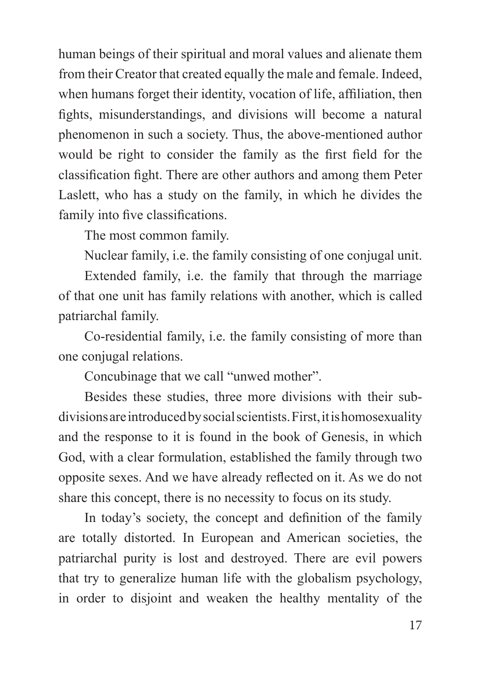human beings of their spiritual and moral values and alienate them from their Creator that created equally the male and female. Indeed, when humans forget their identity, vocation of life, affiliation, then fights, misunderstandings, and divisions will become a natural phenomenon in such a society. Thus, the above-mentioned author would be right to consider the family as the first field for the classification fight. There are other authors and among them Peter Laslett, who has a study on the family, in which he divides the family into five classifications.

The most common family.

Nuclear family, i.e. the family consisting of one conjugal unit.

Extended family, i.e. the family that through the marriage of that one unit has family relations with another, which is called patriarchal family.

Co-residential family, i.e. the family consisting of more than one conjugal relations.

Concubinage that we call "unwed mother".

Besides these studies, three more divisions with their subdivisions are introduced by social scientists. First, it is homosexuality and the response to it is found in the book of Genesis, in which God, with a clear formulation, established the family through two opposite sexes. And we have already reflected on it. As we do not share this concept, there is no necessity to focus on its study.

In today's society, the concept and definition of the family are totally distorted. In European and American societies, the patriarchal purity is lost and destroyed. There are evil powers that try to generalize human life with the globalism psychology, in order to disjoint and weaken the healthy mentality of the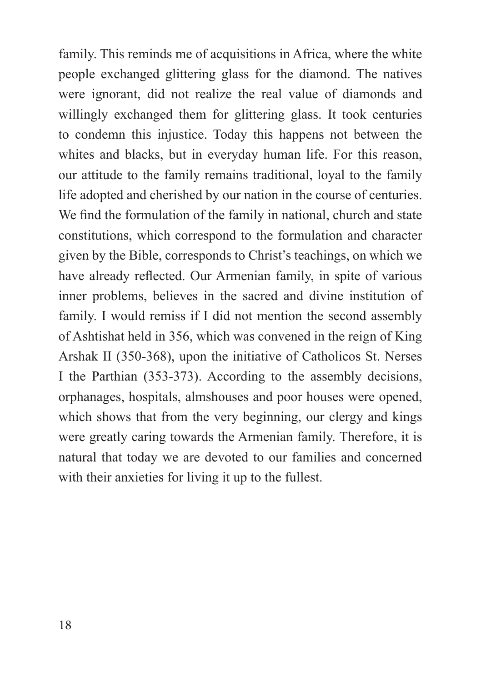family. This reminds me of acquisitions in Africa, where the white people exchanged glittering glass for the diamond. The natives were ignorant, did not realize the real value of diamonds and willingly exchanged them for glittering glass. It took centuries to condemn this injustice. Today this happens not between the whites and blacks, but in everyday human life. For this reason, our attitude to the family remains traditional, loyal to the family life adopted and cherished by our nation in the course of centuries. We find the formulation of the family in national, church and state constitutions, which correspond to the formulation and character given by the Bible, corresponds to Christ's teachings, on which we have already reflected. Our Armenian family, in spite of various inner problems, believes in the sacred and divine institution of family. I would remiss if I did not mention the second assembly of Ashtishat held in 356, which was convened in the reign of King Arshak II (350-368), upon the initiative of Catholicos St. Nerses I the Parthian (353-373). According to the assembly decisions, orphanages, hospitals, almshouses and poor houses were opened, which shows that from the very beginning, our clergy and kings were greatly caring towards the Armenian family. Therefore, it is natural that today we are devoted to our families and concerned with their anxieties for living it up to the fullest.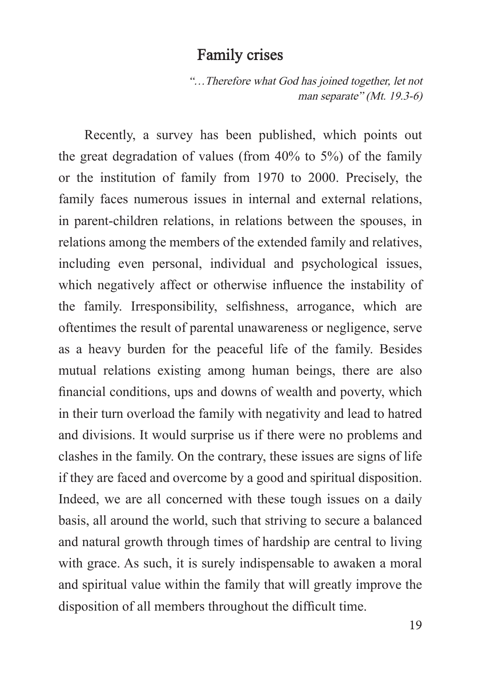#### Family crises

"…Therefore what God has joined together, let not man separate" (Mt. 19.3-6)

Recently, a survey has been published, which points out the great degradation of values (from 40% to 5%) of the family or the institution of family from 1970 to 2000. Precisely, the family faces numerous issues in internal and external relations, in parent-children relations, in relations between the spouses, in relations among the members of the extended family and relatives, including even personal, individual and psychological issues, which negatively affect or otherwise influence the instability of the family. Irresponsibility, selfishness, arrogance, which are oftentimes the result of parental unawareness or negligence, serve as a heavy burden for the peaceful life of the family. Besides mutual relations existing among human beings, there are also financial conditions, ups and downs of wealth and poverty, which in their turn overload the family with negativity and lead to hatred and divisions. It would surprise us if there were no problems and clashes in the family. On the contrary, these issues are signs of life if they are faced and overcome by a good and spiritual disposition. Indeed, we are all concerned with these tough issues on a daily basis, all around the world, such that striving to secure a balanced and natural growth through times of hardship are central to living with grace. As such, it is surely indispensable to awaken a moral and spiritual value within the family that will greatly improve the disposition of all members throughout the difficult time.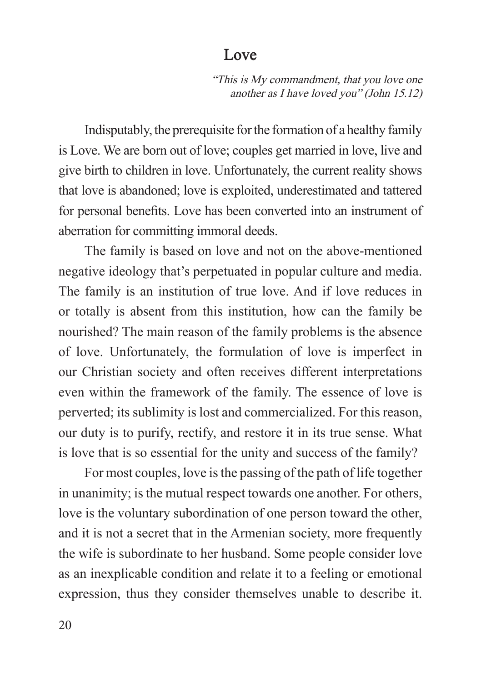#### Love

"This is My commandment, that you love one another as I have loved you" (John 15.12)

Indisputably, the prerequisite for the formation of a healthy family is Love. We are born out of love; couples get married in love, live and give birth to children in love. Unfortunately, the current reality shows that love is abandoned; love is exploited, underestimated and tattered for personal benefits. Love has been converted into an instrument of aberration for committing immoral deeds.

The family is based on love and not on the above-mentioned negative ideology that's perpetuated in popular culture and media. The family is an institution of true love. And if love reduces in or totally is absent from this institution, how can the family be nourished? The main reason of the family problems is the absence of love. Unfortunately, the formulation of love is imperfect in our Christian society and often receives different interpretations even within the framework of the family. The essence of love is perverted; its sublimity is lost and commercialized. For this reason, our duty is to purify, rectify, and restore it in its true sense. What is love that is so essential for the unity and success of the family?

For most couples, love is the passing of the path of life together in unanimity; is the mutual respect towards one another. For others, love is the voluntary subordination of one person toward the other, and it is not a secret that in the Armenian society, more frequently the wife is subordinate to her husband. Some people consider love as an inexplicable condition and relate it to a feeling or emotional expression, thus they consider themselves unable to describe it.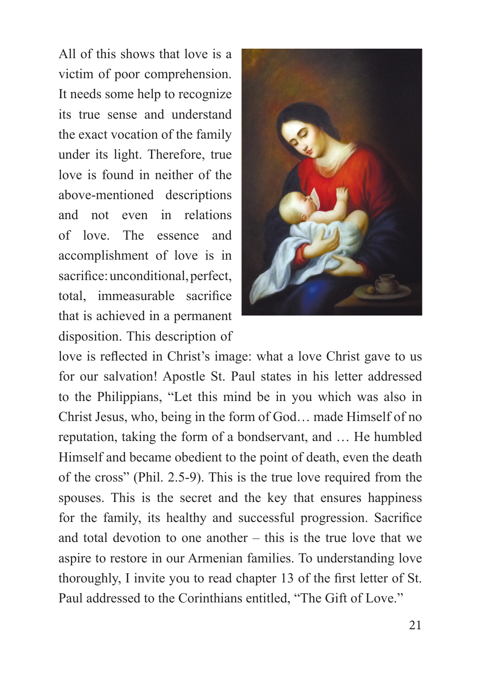All of this shows that love is a victim of poor comprehension. It needs some help to recognize its true sense and understand the exact vocation of the family under its light. Therefore, true love is found in neither of the above-mentioned descriptions and not even in relations of love. The essence and accomplishment of love is in sacrifice: unconditional, perfect, total, immeasurable sacrifice that is achieved in a permanent disposition. This description of



love is reflected in Christ's image: what a love Christ gave to us for our salvation! Apostle St. Paul states in his letter addressed to the Philippians, "Let this mind be in you which was also in Christ Jesus, who, being in the form of God… made Himself of no reputation, taking the form of a bondservant, and … He humbled Himself and became obedient to the point of death, even the death of the cross" (Phil. 2.5-9). This is the true love required from the spouses. This is the secret and the key that ensures happiness for the family, its healthy and successful progression. Sacrifice and total devotion to one another – this is the true love that we aspire to restore in our Armenian families. To understanding love thoroughly, I invite you to read chapter 13 of the first letter of St. Paul addressed to the Corinthians entitled, "The Gift of Love."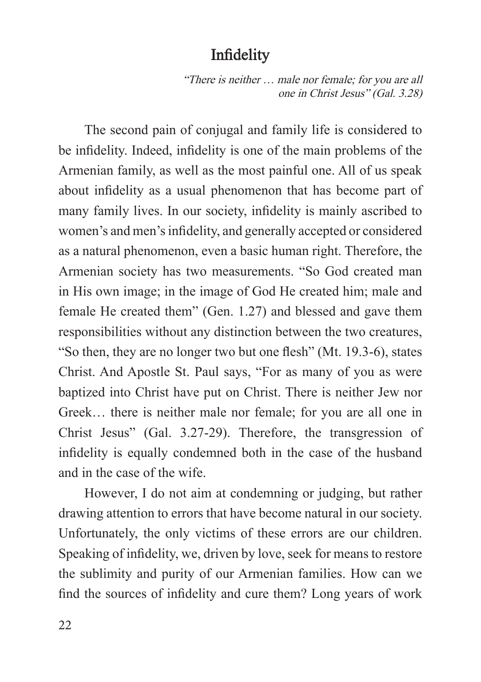## Infidelity

"There is neither … male nor female; for you are all one in Christ Jesus" (Gal. 3.28)

The second pain of conjugal and family life is considered to be infidelity. Indeed, infidelity is one of the main problems of the Armenian family, as well as the most painful one. All of us speak about infidelity as a usual phenomenon that has become part of many family lives. In our society, infidelity is mainly ascribed to women's and men's infidelity, and generally accepted or considered as a natural phenomenon, even a basic human right. Therefore, the Armenian society has two measurements. "So God created man in His own image; in the image of God He created him; male and female He created them" (Gen. 1.27) and blessed and gave them responsibilities without any distinction between the two creatures, "So then, they are no longer two but one flesh" (Mt. 19.3-6), states Christ. And Apostle St. Paul says, "For as many of you as were baptized into Christ have put on Christ. There is neither Jew nor Greek… there is neither male nor female; for you are all one in Christ Jesus" (Gal. 3.27-29). Therefore, the transgression of infidelity is equally condemned both in the case of the husband and in the case of the wife.

However, I do not aim at condemning or judging, but rather drawing attention to errors that have become natural in our society. Unfortunately, the only victims of these errors are our children. Speaking of infidelity, we, driven by love, seek for means to restore the sublimity and purity of our Armenian families. How can we find the sources of infidelity and cure them? Long years of work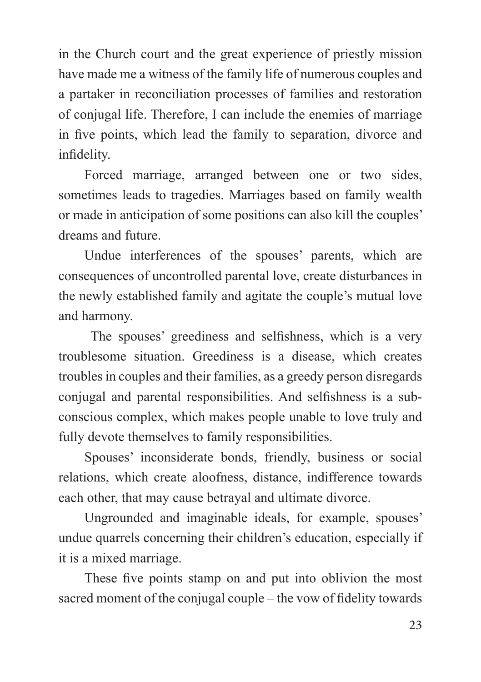in the Church court and the great experience of priestly mission have made me a witness of the family life of numerous couples and a partaker in reconciliation processes of families and restoration of conjugal life. Therefore, I can include the enemies of marriage in five points, which lead the family to separation, divorce and infidelity.

Forced marriage, arranged between one or two sides, sometimes leads to tragedies. Marriages based on family wealth or made in anticipation of some positions can also kill the couples' dreams and future.

Undue interferences of the spouses' parents, which are consequences of uncontrolled parental love, create disturbances in the newly established family and agitate the couple's mutual love and harmony.

 The spouses' greediness and selfishness, which is a very troublesome situation. Greediness is a disease, which creates troubles in couples and their families, as a greedy person disregards conjugal and parental responsibilities. And selfishness is a subconscious complex, which makes people unable to love truly and fully devote themselves to family responsibilities.

Spouses' inconsiderate bonds, friendly, business or social relations, which create aloofness, distance, indifference towards each other, that may cause betrayal and ultimate divorce.

Ungrounded and imaginable ideals, for example, spouses' undue quarrels concerning their children's education, especially if it is a mixed marriage.

These five points stamp on and put into oblivion the most sacred moment of the conjugal couple – the vow of fidelity towards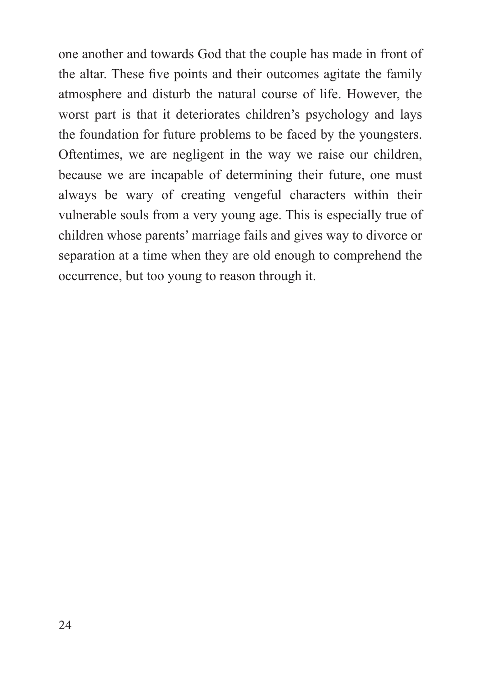one another and towards God that the couple has made in front of the altar. These five points and their outcomes agitate the family atmosphere and disturb the natural course of life. However, the worst part is that it deteriorates children's psychology and lays the foundation for future problems to be faced by the youngsters. Oftentimes, we are negligent in the way we raise our children, because we are incapable of determining their future, one must always be wary of creating vengeful characters within their vulnerable souls from a very young age. This is especially true of children whose parents' marriage fails and gives way to divorce or separation at a time when they are old enough to comprehend the occurrence, but too young to reason through it.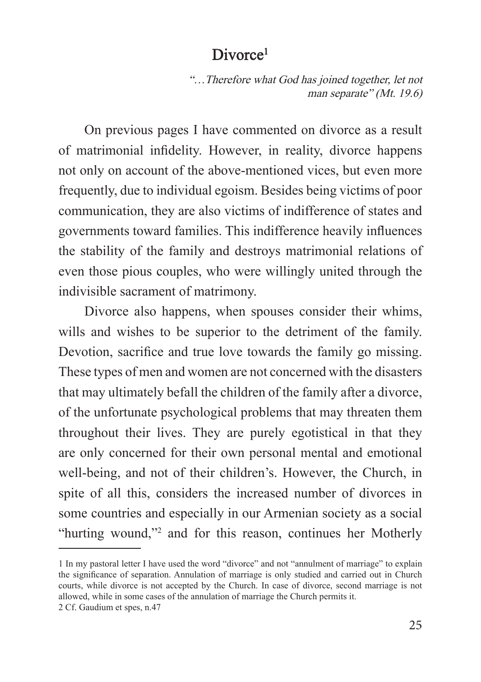#### Divorce<sup>1</sup>

"…Therefore what God has joined together, let not man separate" (Mt. 19.6)

On previous pages I have commented on divorce as a result of matrimonial infidelity. However, in reality, divorce happens not only on account of the above-mentioned vices, but even more frequently, due to individual egoism. Besides being victims of poor communication, they are also victims of indifference of states and governments toward families. This indifference heavily influences the stability of the family and destroys matrimonial relations of even those pious couples, who were willingly united through the indivisible sacrament of matrimony.

Divorce also happens, when spouses consider their whims, wills and wishes to be superior to the detriment of the family. Devotion, sacrifice and true love towards the family go missing. These types of men and women are not concerned with the disasters that may ultimately befall the children of the family after a divorce, of the unfortunate psychological problems that may threaten them throughout their lives. They are purely egotistical in that they are only concerned for their own personal mental and emotional well-being, and not of their children's. However, the Church, in spite of all this, considers the increased number of divorces in some countries and especially in our Armenian society as a social "hurting wound,"<sup>2</sup> and for this reason, continues her Motherly

<sup>1</sup> In my pastoral letter I have used the word "divorce" and not "annulment of marriage" to explain the significance of separation. Annulation of marriage is only studied and carried out in Church courts, while divorce is not accepted by the Church. In case of divorce, second marriage is not allowed, while in some cases of the annulation of marriage the Church permits it. 2 Cf. Gaudium et spes, n.47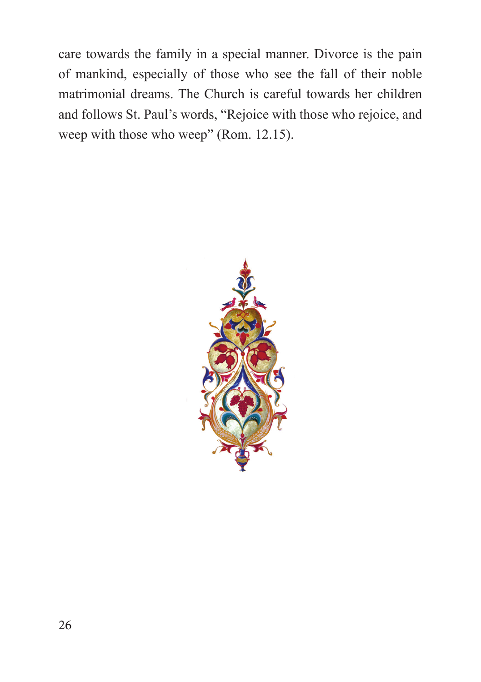care towards the family in a special manner. Divorce is the pain of mankind, especially of those who see the fall of their noble matrimonial dreams. The Church is careful towards her children and follows St. Paul's words, "Rejoice with those who rejoice, and weep with those who weep" (Rom. 12.15).

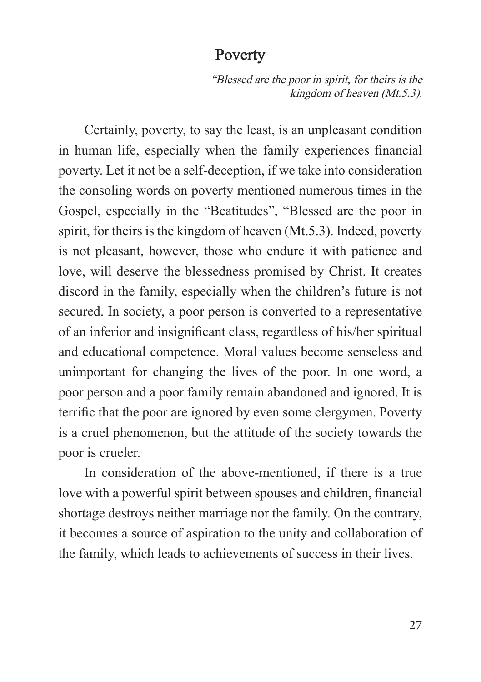#### Poverty

"Blessed are the poor in spirit, for theirs is the kingdom of heaven (Mt.5.3).

Certainly, poverty, to say the least, is an unpleasant condition in human life, especially when the family experiences financial poverty. Let it not be a self-deception, if we take into consideration the consoling words on poverty mentioned numerous times in the Gospel, especially in the "Beatitudes", "Blessed are the poor in spirit, for theirs is the kingdom of heaven (Mt.5.3). Indeed, poverty is not pleasant, however, those who endure it with patience and love, will deserve the blessedness promised by Christ. It creates discord in the family, especially when the children's future is not secured. In society, a poor person is converted to a representative of an inferior and insignificant class, regardless of his/her spiritual and educational competence. Moral values become senseless and unimportant for changing the lives of the poor. In one word, a poor person and a poor family remain abandoned and ignored. It is terrific that the poor are ignored by even some clergymen. Poverty is a cruel phenomenon, but the attitude of the society towards the poor is crueler.

In consideration of the above-mentioned, if there is a true love with a powerful spirit between spouses and children, financial shortage destroys neither marriage nor the family. On the contrary, it becomes a source of aspiration to the unity and collaboration of the family, which leads to achievements of success in their lives.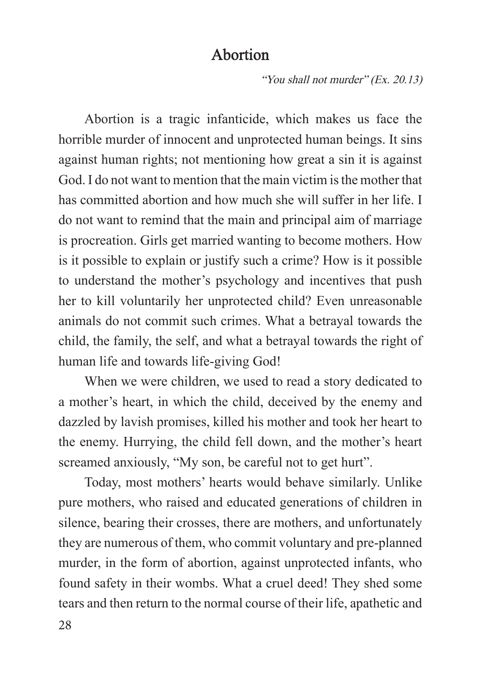## Abortion

"You shall not murder" (Ex. 20.13)

Abortion is a tragic infanticide, which makes us face the horrible murder of innocent and unprotected human beings. It sins against human rights; not mentioning how great a sin it is against God. I do not want to mention that the main victim is the mother that has committed abortion and how much she will suffer in her life. I do not want to remind that the main and principal aim of marriage is procreation. Girls get married wanting to become mothers. How is it possible to explain or justify such a crime? How is it possible to understand the mother's psychology and incentives that push her to kill voluntarily her unprotected child? Even unreasonable animals do not commit such crimes. What a betrayal towards the child, the family, the self, and what a betrayal towards the right of human life and towards life-giving God!

When we were children, we used to read a story dedicated to a mother's heart, in which the child, deceived by the enemy and dazzled by lavish promises, killed his mother and took her heart to the enemy. Hurrying, the child fell down, and the mother's heart screamed anxiously, "My son, be careful not to get hurt".

Today, most mothers' hearts would behave similarly. Unlike pure mothers, who raised and educated generations of children in silence, bearing their crosses, there are mothers, and unfortunately they are numerous of them, who commit voluntary and pre-planned murder, in the form of abortion, against unprotected infants, who found safety in their wombs. What a cruel deed! They shed some tears and then return to the normal course of their life, apathetic and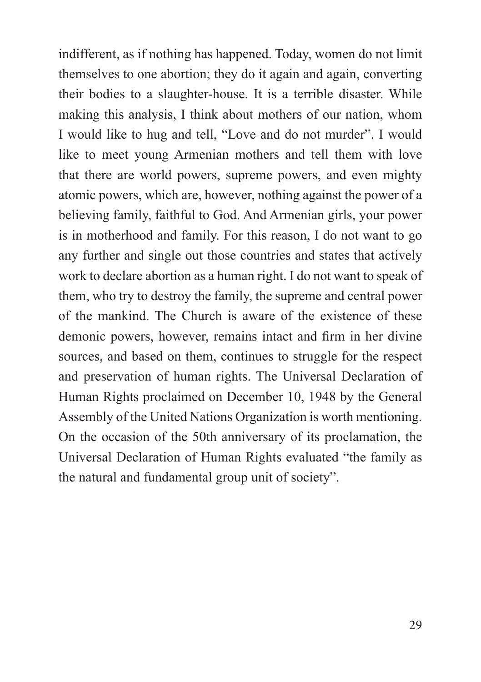indifferent, as if nothing has happened. Today, women do not limit themselves to one abortion; they do it again and again, converting their bodies to a slaughter-house. It is a terrible disaster. While making this analysis, I think about mothers of our nation, whom I would like to hug and tell, "Love and do not murder". I would like to meet young Armenian mothers and tell them with love that there are world powers, supreme powers, and even mighty atomic powers, which are, however, nothing against the power of a believing family, faithful to God. And Armenian girls, your power is in motherhood and family. For this reason, I do not want to go any further and single out those countries and states that actively work to declare abortion as a human right. I do not want to speak of them, who try to destroy the family, the supreme and central power of the mankind. The Church is aware of the existence of these demonic powers, however, remains intact and firm in her divine sources, and based on them, continues to struggle for the respect and preservation of human rights. The Universal Declaration of Human Rights proclaimed on December 10, 1948 by the General Assembly of the United Nations Organization is worth mentioning. On the occasion of the 50th anniversary of its proclamation, the Universal Declaration of Human Rights evaluated "the family as the natural and fundamental group unit of society".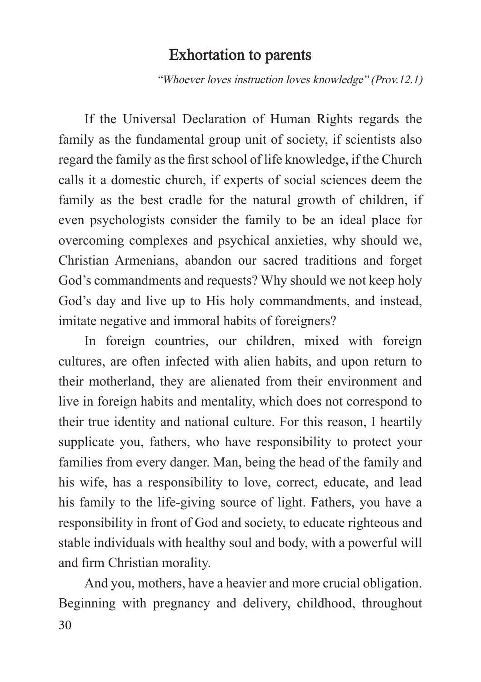#### Exhortation to parents

"Whoever loves instruction loves knowledge" (Prov.12.1)

If the Universal Declaration of Human Rights regards the family as the fundamental group unit of society, if scientists also regard the family as the first school of life knowledge, if the Church calls it a domestic church, if experts of social sciences deem the family as the best cradle for the natural growth of children, if even psychologists consider the family to be an ideal place for overcoming complexes and psychical anxieties, why should we, Christian Armenians, abandon our sacred traditions and forget God's commandments and requests? Why should we not keep holy God's day and live up to His holy commandments, and instead, imitate negative and immoral habits of foreigners?

In foreign countries, our children, mixed with foreign cultures, are often infected with alien habits, and upon return to their motherland, they are alienated from their environment and live in foreign habits and mentality, which does not correspond to their true identity and national culture. For this reason, I heartily supplicate you, fathers, who have responsibility to protect your families from every danger. Man, being the head of the family and his wife, has a responsibility to love, correct, educate, and lead his family to the life-giving source of light. Fathers, you have a responsibility in front of God and society, to educate righteous and stable individuals with healthy soul and body, with a powerful will and firm Christian morality.

30 And you, mothers, have a heavier and more crucial obligation. Beginning with pregnancy and delivery, childhood, throughout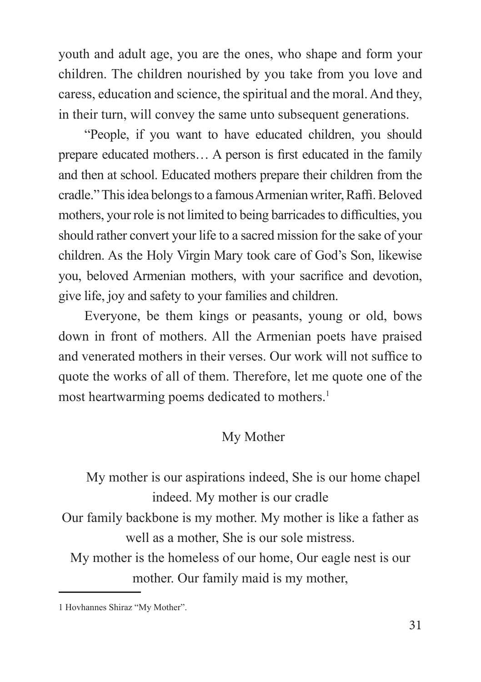youth and adult age, you are the ones, who shape and form your children. The children nourished by you take from you love and caress, education and science, the spiritual and the moral. And they, in their turn, will convey the same unto subsequent generations.

"People, if you want to have educated children, you should prepare educated mothers… A person is first educated in the family and then at school. Educated mothers prepare their children from the cradle." This idea belongs to a famous Armenian writer, Raffi. Beloved mothers, your role is not limited to being barricades to difficulties, you should rather convert your life to a sacred mission for the sake of your children. As the Holy Virgin Mary took care of God's Son, likewise you, beloved Armenian mothers, with your sacrifice and devotion, give life, joy and safety to your families and children.

Everyone, be them kings or peasants, young or old, bows down in front of mothers. All the Armenian poets have praised and venerated mothers in their verses. Our work will not suffice to quote the works of all of them. Therefore, let me quote one of the most heartwarming poems dedicated to mothers.<sup>1</sup>

#### My Mother

My mother is our aspirations indeed, She is our home chapel indeed. My mother is our cradle

Our family backbone is my mother. My mother is like a father as well as a mother, She is our sole mistress.

My mother is the homeless of our home, Our eagle nest is our mother. Our family maid is my mother,

<sup>1</sup> Hovhannes Shiraz "My Mother".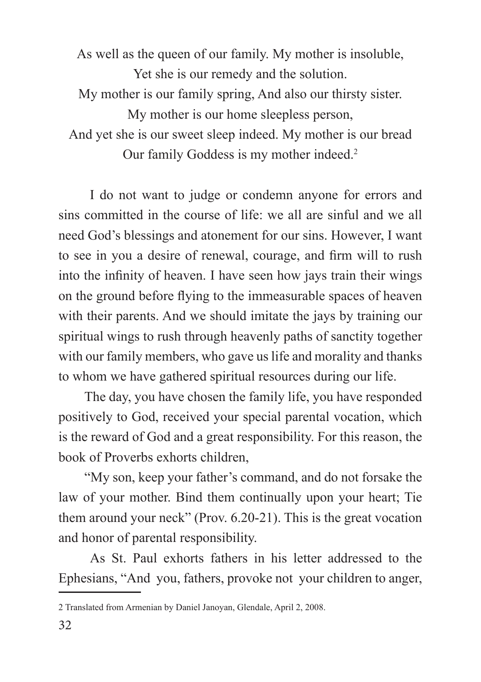As well as the queen of our family. My mother is insoluble, Yet she is our remedy and the solution. My mother is our family spring, And also our thirsty sister. My mother is our home sleepless person, And yet she is our sweet sleep indeed. My mother is our bread Our family Goddess is my mother indeed.2

 I do not want to judge or condemn anyone for errors and sins committed in the course of life: we all are sinful and we all need God's blessings and atonement for our sins. However, I want to see in you a desire of renewal, courage, and firm will to rush into the infinity of heaven. I have seen how jays train their wings on the ground before flying to the immeasurable spaces of heaven with their parents. And we should imitate the jays by training our spiritual wings to rush through heavenly paths of sanctity together with our family members, who gave us life and morality and thanks to whom we have gathered spiritual resources during our life.

The day, you have chosen the family life, you have responded positively to God, received your special parental vocation, which is the reward of God and a great responsibility. For this reason, the book of Proverbs exhorts children,

"My son, keep your father's command, and do not forsake the law of your mother. Bind them continually upon your heart; Tie them around your neck" (Prov. 6.20-21). This is the great vocation and honor of parental responsibility.

 As St. Paul exhorts fathers in his letter addressed to the Ephesians, "And you, fathers, provoke not your children to anger,

<sup>2</sup> Translated from Armenian by Daniel Janoyan, Glendale, April 2, 2008.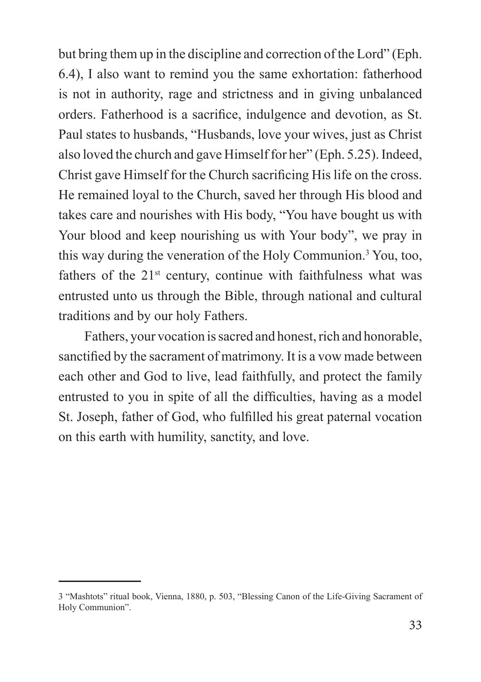but bring them up in the discipline and correction of the Lord" (Eph. 6.4), I also want to remind you the same exhortation: fatherhood is not in authority, rage and strictness and in giving unbalanced orders. Fatherhood is a sacrifice, indulgence and devotion, as St. Paul states to husbands, "Husbands, love your wives, just as Christ also loved the church and gave Himself for her" (Eph. 5.25). Indeed, Christ gave Himself for the Church sacrificing His life on the cross. He remained loyal to the Church, saved her through His blood and takes care and nourishes with His body, "You have bought us with Your blood and keep nourishing us with Your body", we pray in this way during the veneration of the Holy Communion.3 You, too, fathers of the  $21<sup>st</sup>$  century, continue with faithfulness what was entrusted unto us through the Bible, through national and cultural traditions and by our holy Fathers.

Fathers, your vocation is sacred and honest, rich and honorable, sanctified by the sacrament of matrimony. It is a vow made between each other and God to live, lead faithfully, and protect the family entrusted to you in spite of all the difficulties, having as a model St. Joseph, father of God, who fulfilled his great paternal vocation on this earth with humility, sanctity, and love.

<sup>3 &</sup>quot;Mashtots" ritual book, Vienna, 1880, p. 503, "Blessing Canon of the Life-Giving Sacrament of Holy Communion".